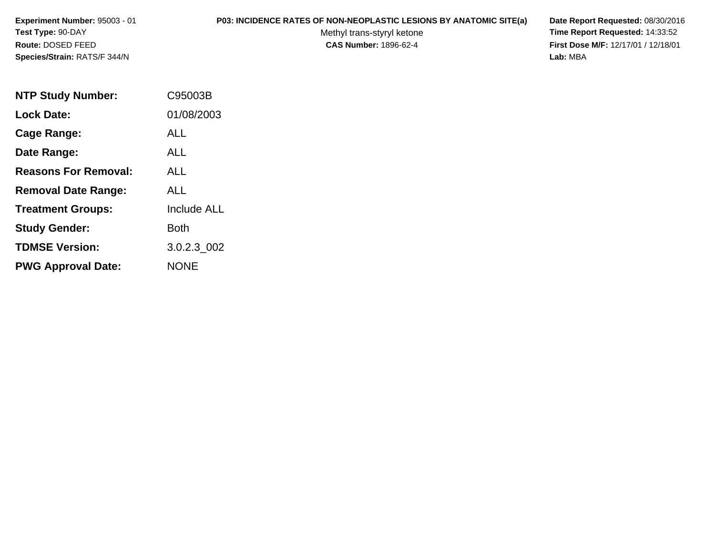# **P03: INCIDENCE RATES OF NON-NEOPLASTIC LESIONS BY ANATOMIC SITE(a) Date Report Requested:** 08/30/2016

Methyl trans-styryl ketone<br>CAS Number: 1896-62-4

 **Time Report Requested:** 14:33:52 **First Dose M/F:** 12/17/01 / 12/18/01<br>Lab: MBA **Lab:** MBA

| <b>NTP Study Number:</b>    | C95003B            |
|-----------------------------|--------------------|
| <b>Lock Date:</b>           | 01/08/2003         |
| Cage Range:                 | ALL                |
| Date Range:                 | AI I               |
| <b>Reasons For Removal:</b> | ALL.               |
| <b>Removal Date Range:</b>  | ALL                |
| <b>Treatment Groups:</b>    | <b>Include ALL</b> |
| <b>Study Gender:</b>        | Both               |
| <b>TDMSE Version:</b>       | 3.0.2.3 002        |
| <b>PWG Approval Date:</b>   | <b>NONE</b>        |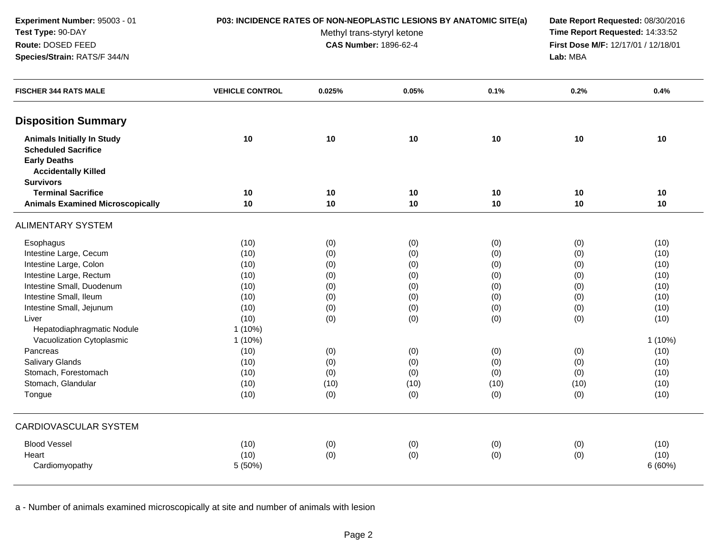# **P03: INCIDENCE RATES OF NON-NEOPLASTIC LESIONS BY ANATOMIC SITE(a) Date Report Requested:** 08/30/2016

Methyl trans-styryl ketone<br>CAS Number: 1896-62-4

 **Time Report Requested:** 14:33:52 **First Dose M/F:** 12/17/01 / 12/18/01<br>Lab: MBA **Lab:** MBA

| <b>FISCHER 344 RATS MALE</b>                  | <b>VEHICLE CONTROL</b> | 0.025% | 0.05%    | 0.1%     | 0.2%     | 0.4%      |
|-----------------------------------------------|------------------------|--------|----------|----------|----------|-----------|
| <b>Disposition Summary</b>                    |                        |        |          |          |          |           |
| <b>Animals Initially In Study</b>             | 10                     | 10     | 10       | 10       | 10       | 10        |
| <b>Scheduled Sacrifice</b>                    |                        |        |          |          |          |           |
| <b>Early Deaths</b>                           |                        |        |          |          |          |           |
| <b>Accidentally Killed</b>                    |                        |        |          |          |          |           |
| <b>Survivors</b><br><b>Terminal Sacrifice</b> |                        |        |          |          |          |           |
|                                               | 10<br>10               | 10     | 10<br>10 | 10<br>10 | 10<br>10 | 10<br>10  |
| <b>Animals Examined Microscopically</b>       |                        | 10     |          |          |          |           |
| <b>ALIMENTARY SYSTEM</b>                      |                        |        |          |          |          |           |
| Esophagus                                     | (10)                   | (0)    | (0)      | (0)      | (0)      | (10)      |
| Intestine Large, Cecum                        | (10)                   | (0)    | (0)      | (0)      | (0)      | (10)      |
| Intestine Large, Colon                        | (10)                   | (0)    | (0)      | (0)      | (0)      | (10)      |
| Intestine Large, Rectum                       | (10)                   | (0)    | (0)      | (0)      | (0)      | (10)      |
| Intestine Small, Duodenum                     | (10)                   | (0)    | (0)      | (0)      | (0)      | (10)      |
| Intestine Small, Ileum                        | (10)                   | (0)    | (0)      | (0)      | (0)      | (10)      |
| Intestine Small, Jejunum                      | (10)                   | (0)    | (0)      | (0)      | (0)      | (10)      |
| Liver                                         | (10)                   | (0)    | (0)      | (0)      | (0)      | (10)      |
| Hepatodiaphragmatic Nodule                    | $1(10\%)$              |        |          |          |          |           |
| Vacuolization Cytoplasmic                     | $1(10\%)$              |        |          |          |          | $1(10\%)$ |
| Pancreas                                      | (10)                   | (0)    | (0)      | (0)      | (0)      | (10)      |
| Salivary Glands                               | (10)                   | (0)    | (0)      | (0)      | (0)      | (10)      |
| Stomach, Forestomach                          | (10)                   | (0)    | (0)      | (0)      | (0)      | (10)      |
| Stomach, Glandular                            | (10)                   | (10)   | (10)     | (10)     | (10)     | (10)      |
| Tongue                                        | (10)                   | (0)    | (0)      | (0)      | (0)      | (10)      |
| <b>CARDIOVASCULAR SYSTEM</b>                  |                        |        |          |          |          |           |
| <b>Blood Vessel</b>                           | (10)                   | (0)    | (0)      | (0)      | (0)      | (10)      |
| Heart                                         | (10)                   | (0)    | (0)      | (0)      | (0)      | (10)      |
| Cardiomyopathy                                | 5 (50%)                |        |          |          |          | 6(60%)    |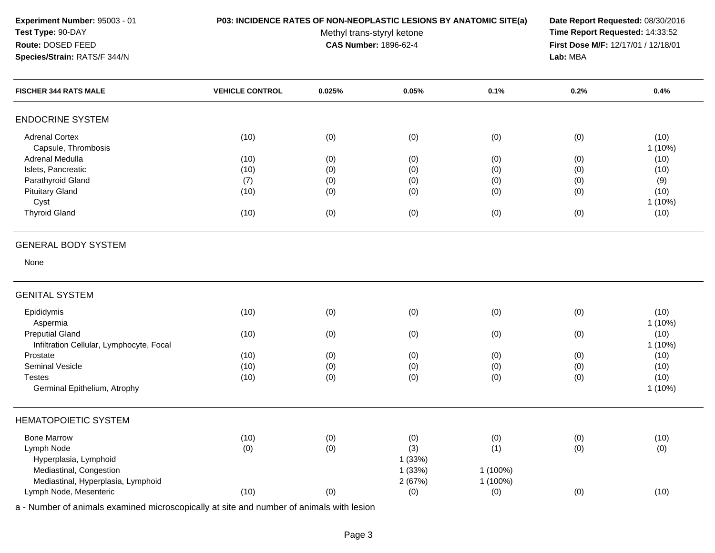## **P03: INCIDENCE RATES OF NON-NEOPLASTIC LESIONS BY ANATOMIC SITE(a) Date Report Requested:** 08/30/2016

Methyl trans-styryl ketone<br>CAS Number: 1896-62-4

 **Time Report Requested:** 14:33:52 **First Dose M/F:** 12/17/01 / 12/18/01<br>Lab: MBA **Lab:** MBA

| <b>FISCHER 344 RATS MALE</b>                  | <b>VEHICLE CONTROL</b> | 0.025% | 0.05%  | 0.1%     | 0.2% | 0.4%              |
|-----------------------------------------------|------------------------|--------|--------|----------|------|-------------------|
| <b>ENDOCRINE SYSTEM</b>                       |                        |        |        |          |      |                   |
| <b>Adrenal Cortex</b><br>Capsule, Thrombosis  | (10)                   | (0)    | (0)    | (0)      | (0)  | (10)<br>1(10%)    |
| Adrenal Medulla                               | (10)                   | (0)    | (0)    | (0)      | (0)  | (10)              |
| Islets, Pancreatic                            | (10)                   | (0)    | (0)    | (0)      | (0)  | (10)              |
| Parathyroid Gland                             | (7)                    | (0)    | (0)    | (0)      | (0)  | (9)               |
| <b>Pituitary Gland</b>                        | (10)                   | (0)    | (0)    | (0)      | (0)  | (10)              |
| Cyst                                          |                        |        |        |          |      | $1(10\%)$         |
| <b>Thyroid Gland</b>                          | (10)                   | (0)    | (0)    | (0)      | (0)  | (10)              |
| <b>GENERAL BODY SYSTEM</b>                    |                        |        |        |          |      |                   |
| None                                          |                        |        |        |          |      |                   |
| <b>GENITAL SYSTEM</b>                         |                        |        |        |          |      |                   |
| Epididymis<br>Aspermia                        | (10)                   | (0)    | (0)    | (0)      | (0)  | (10)<br>$1(10\%)$ |
| <b>Preputial Gland</b>                        | (10)                   | (0)    | (0)    | (0)      | (0)  | (10)              |
| Infiltration Cellular, Lymphocyte, Focal      |                        |        |        |          |      | 1(10%)            |
| Prostate                                      | (10)                   | (0)    | (0)    | (0)      | (0)  | (10)              |
| <b>Seminal Vesicle</b>                        | (10)                   | (0)    | (0)    | (0)      | (0)  | (10)              |
| <b>Testes</b><br>Germinal Epithelium, Atrophy | (10)                   | (0)    | (0)    | (0)      | (0)  | (10)<br>$1(10\%)$ |
| <b>HEMATOPOIETIC SYSTEM</b>                   |                        |        |        |          |      |                   |
| <b>Bone Marrow</b>                            | (10)                   | (0)    | (0)    | (0)      | (0)  | (10)              |
| Lymph Node                                    | (0)                    | (0)    | (3)    | (1)      | (0)  | (0)               |
| Hyperplasia, Lymphoid                         |                        |        | 1(33%) |          |      |                   |
| Mediastinal, Congestion                       |                        |        | 1(33%) | 1 (100%) |      |                   |
| Mediastinal, Hyperplasia, Lymphoid            |                        |        | 2(67%) | 1 (100%) |      |                   |
| Lymph Node, Mesenteric                        | (10)                   | (0)    | (0)    | (0)      | (0)  | (10)              |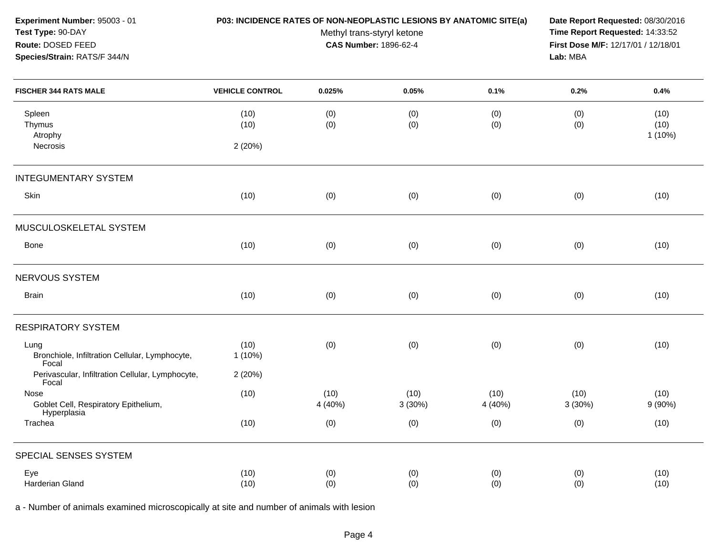| Experiment Number: 95003 - 01<br>Test Type: 90-DAY<br>Route: DOSED FEED<br>Species/Strain: RATS/F 344/N | P03: INCIDENCE RATES OF NON-NEOPLASTIC LESIONS BY ANATOMIC SITE(a) | Methyl trans-styryl ketone<br>CAS Number: 1896-62-4 | Date Report Requested: 08/30/2016<br>Time Report Requested: 14:33:52<br>First Dose M/F: 12/17/01 / 12/18/01<br>Lab: MBA |                 |                |                        |
|---------------------------------------------------------------------------------------------------------|--------------------------------------------------------------------|-----------------------------------------------------|-------------------------------------------------------------------------------------------------------------------------|-----------------|----------------|------------------------|
| <b>FISCHER 344 RATS MALE</b>                                                                            | <b>VEHICLE CONTROL</b>                                             | 0.025%                                              | 0.05%                                                                                                                   | 0.1%            | 0.2%           | 0.4%                   |
| Spleen<br>Thymus<br>Atrophy<br>Necrosis                                                                 | (10)<br>(10)<br>2(20%)                                             | (0)<br>(0)                                          | (0)<br>(0)                                                                                                              | (0)<br>(0)      | (0)<br>(0)     | (10)<br>(10)<br>1(10%) |
| <b>INTEGUMENTARY SYSTEM</b>                                                                             |                                                                    |                                                     |                                                                                                                         |                 |                |                        |
| Skin                                                                                                    | (10)                                                               | (0)                                                 | (0)                                                                                                                     | (0)             | (0)            | (10)                   |
| MUSCULOSKELETAL SYSTEM                                                                                  |                                                                    |                                                     |                                                                                                                         |                 |                |                        |
| Bone                                                                                                    | (10)                                                               | (0)                                                 | (0)                                                                                                                     | (0)             | (0)            | (10)                   |
| NERVOUS SYSTEM                                                                                          |                                                                    |                                                     |                                                                                                                         |                 |                |                        |
| <b>Brain</b>                                                                                            | (10)                                                               | (0)                                                 | (0)                                                                                                                     | (0)             | (0)            | (10)                   |
| <b>RESPIRATORY SYSTEM</b>                                                                               |                                                                    |                                                     |                                                                                                                         |                 |                |                        |
| Lung<br>Bronchiole, Infiltration Cellular, Lymphocyte,<br>Focal                                         | (10)<br>1(10%)                                                     | (0)                                                 | (0)                                                                                                                     | (0)             | (0)            | (10)                   |
| Perivascular, Infiltration Cellular, Lymphocyte,<br>Focal                                               | 2(20%)                                                             |                                                     |                                                                                                                         |                 |                |                        |
| Nose<br>Goblet Cell, Respiratory Epithelium,<br>Hyperplasia                                             | (10)                                                               | (10)<br>4 (40%)                                     | (10)<br>3(30%)                                                                                                          | (10)<br>4 (40%) | (10)<br>3(30%) | (10)<br>9(90%)         |
| Trachea                                                                                                 | (10)                                                               | (0)                                                 | (0)                                                                                                                     | (0)             | (0)            | (10)                   |
| SPECIAL SENSES SYSTEM                                                                                   |                                                                    |                                                     |                                                                                                                         |                 |                |                        |
| Eye<br>Harderian Gland                                                                                  | (10)<br>(10)                                                       | (0)<br>(0)                                          | (0)<br>(0)                                                                                                              | (0)<br>(0)      | (0)<br>(0)     | (10)<br>(10)           |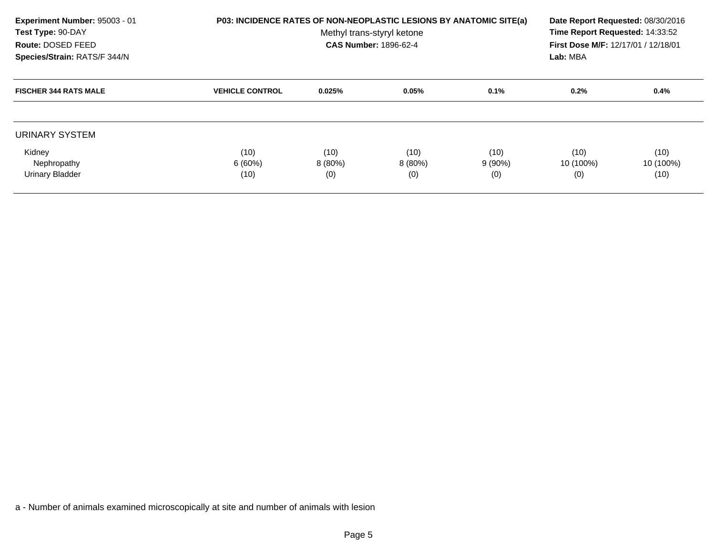| Experiment Number: 95003 - 01<br>Test Type: 90-DAY<br>Route: DOSED FEED<br>Species/Strain: RATS/F 344/N | <b>P03: INCIDENCE RATES OF NON-NEOPLASTIC LESIONS BY ANATOMIC SITE(a)</b> | Date Report Requested: 08/30/2016<br>Time Report Requested: 14:33:52<br>First Dose M/F: 12/17/01 / 12/18/01<br>Lab: MBA |                  |                  |                  |                   |
|---------------------------------------------------------------------------------------------------------|---------------------------------------------------------------------------|-------------------------------------------------------------------------------------------------------------------------|------------------|------------------|------------------|-------------------|
| <b>FISCHER 344 RATS MALE</b>                                                                            | <b>VEHICLE CONTROL</b>                                                    | 0.025%                                                                                                                  | 0.05%            | 0.1%             | 0.2%             | 0.4%              |
| URINARY SYSTEM<br>Kidney                                                                                | (10)                                                                      | (10)                                                                                                                    | (10)             | (10)             | (10)             | (10)              |
| Nephropathy<br><b>Urinary Bladder</b>                                                                   | 6(60%)<br>(10)                                                            | 8 (80%)<br>(0)                                                                                                          | $8(80\%)$<br>(0) | $9(90\%)$<br>(0) | 10 (100%)<br>(0) | 10 (100%)<br>(10) |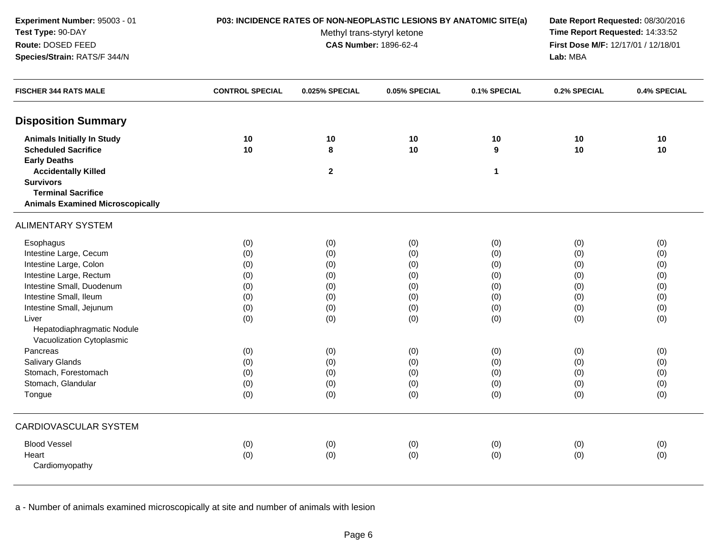| Experiment Number: 95003 - 01<br>Test Type: 90-DAY | P03: INCIDENCE RATES OF NON-NEOPLASTIC LESIONS BY ANATOMIC SITE(a) | Date Report Requested: 08/30/2016<br>Time Report Requested: 14:33:52 |                                     |              |              |              |
|----------------------------------------------------|--------------------------------------------------------------------|----------------------------------------------------------------------|-------------------------------------|--------------|--------------|--------------|
| Route: DOSED FEED                                  |                                                                    | Methyl trans-styryl ketone<br><b>CAS Number: 1896-62-4</b>           | First Dose M/F: 12/17/01 / 12/18/01 |              |              |              |
| Species/Strain: RATS/F 344/N                       |                                                                    |                                                                      |                                     | Lab: MBA     |              |              |
| <b>FISCHER 344 RATS MALE</b>                       | <b>CONTROL SPECIAL</b>                                             | 0.025% SPECIAL                                                       | 0.05% SPECIAL                       | 0.1% SPECIAL | 0.2% SPECIAL | 0.4% SPECIAL |
| <b>Disposition Summary</b>                         |                                                                    |                                                                      |                                     |              |              |              |
| <b>Animals Initially In Study</b>                  | 10                                                                 | 10                                                                   | 10                                  | 10           | 10           | 10           |
| <b>Scheduled Sacrifice</b>                         | 10                                                                 | 8                                                                    | 10                                  | 9            | 10           | 10           |
| <b>Early Deaths</b>                                |                                                                    |                                                                      |                                     |              |              |              |
| <b>Accidentally Killed</b>                         |                                                                    | $\mathbf{2}$                                                         |                                     | 1            |              |              |
| <b>Survivors</b>                                   |                                                                    |                                                                      |                                     |              |              |              |
| <b>Terminal Sacrifice</b>                          |                                                                    |                                                                      |                                     |              |              |              |
| <b>Animals Examined Microscopically</b>            |                                                                    |                                                                      |                                     |              |              |              |
| <b>ALIMENTARY SYSTEM</b>                           |                                                                    |                                                                      |                                     |              |              |              |
| Esophagus                                          | (0)                                                                | (0)                                                                  | (0)                                 | (0)          | (0)          | (0)          |
| Intestine Large, Cecum                             | (0)                                                                | (0)                                                                  | (0)                                 | (0)          | (0)          | (0)          |
| Intestine Large, Colon                             | (0)                                                                | (0)                                                                  | (0)                                 | (0)          | (0)          | (0)          |
| Intestine Large, Rectum                            | (0)                                                                | (0)                                                                  | (0)                                 | (0)          | (0)          | (0)          |
| Intestine Small, Duodenum                          | (0)                                                                | (0)                                                                  | (0)                                 | (0)          | (0)          | (0)          |
| Intestine Small, Ileum                             | (0)                                                                | (0)                                                                  | (0)                                 | (0)          | (0)          | (0)          |
| Intestine Small, Jejunum                           | (0)                                                                | (0)                                                                  | (0)                                 | (0)          | (0)          | (0)          |
| Liver                                              | (0)                                                                | (0)                                                                  | (0)                                 | (0)          | (0)          | (0)          |
| Hepatodiaphragmatic Nodule                         |                                                                    |                                                                      |                                     |              |              |              |
| Vacuolization Cytoplasmic                          |                                                                    |                                                                      |                                     |              |              |              |
| Pancreas                                           | (0)                                                                | (0)                                                                  | (0)                                 | (0)          | (0)          | (0)          |
| Salivary Glands                                    | (0)                                                                | (0)                                                                  | (0)                                 | (0)          | (0)          | (0)          |
| Stomach, Forestomach                               | (0)                                                                | (0)                                                                  | (0)                                 | (0)          | (0)          | (0)          |
| Stomach, Glandular                                 | (0)                                                                | (0)                                                                  | (0)                                 | (0)          | (0)          | (0)          |
| Tongue                                             | (0)                                                                | (0)                                                                  | (0)                                 | (0)          | (0)          | (0)          |
| CARDIOVASCULAR SYSTEM                              |                                                                    |                                                                      |                                     |              |              |              |
| <b>Blood Vessel</b>                                | (0)                                                                | (0)                                                                  | (0)                                 | (0)          | (0)          | (0)          |
| Heart                                              | (0)                                                                | (0)                                                                  | (0)                                 | (0)          | (0)          | (0)          |
| Cardiomyopathy                                     |                                                                    |                                                                      |                                     |              |              |              |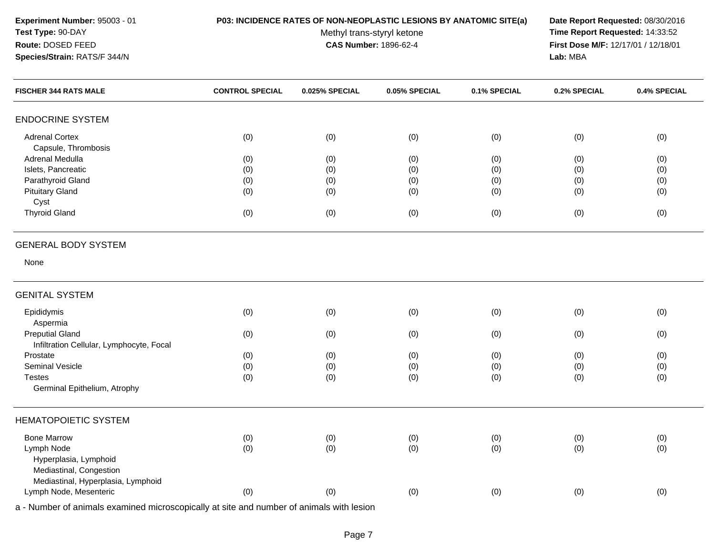## **P03: INCIDENCE RATES OF NON-NEOPLASTIC LESIONS BY ANATOMIC SITE(a) Date Report Requested:** 08/30/2016

Methyl trans-styryl ketone<br>CAS Number: 1896-62-4

 **Time Report Requested:** 14:33:52 **First Dose M/F:** 12/17/01 / 12/18/01<br>Lab: MBA **Lab:** MBA

| <b>FISCHER 344 RATS MALE</b>                 | <b>CONTROL SPECIAL</b> | 0.025% SPECIAL | 0.05% SPECIAL | 0.1% SPECIAL | 0.2% SPECIAL | 0.4% SPECIAL |
|----------------------------------------------|------------------------|----------------|---------------|--------------|--------------|--------------|
| <b>ENDOCRINE SYSTEM</b>                      |                        |                |               |              |              |              |
| <b>Adrenal Cortex</b><br>Capsule, Thrombosis | (0)                    | (0)            | (0)           | (0)          | (0)          | (0)          |
| Adrenal Medulla                              | (0)                    | (0)            | (0)           | (0)          | (0)          | (0)          |
| Islets, Pancreatic                           | (0)                    | (0)            | (0)           | (0)          | (0)          | (0)          |
| Parathyroid Gland                            | (0)                    | (0)            | (0)           | (0)          | (0)          | (0)          |
| <b>Pituitary Gland</b>                       | (0)                    | (0)            | (0)           | (0)          | (0)          | (0)          |
| Cyst                                         |                        |                |               |              |              |              |
| <b>Thyroid Gland</b>                         | (0)                    | (0)            | (0)           | (0)          | (0)          | (0)          |
| <b>GENERAL BODY SYSTEM</b>                   |                        |                |               |              |              |              |
| None                                         |                        |                |               |              |              |              |
| <b>GENITAL SYSTEM</b>                        |                        |                |               |              |              |              |
| Epididymis                                   | (0)                    | (0)            | (0)           | (0)          | (0)          | (0)          |
| Aspermia<br><b>Preputial Gland</b>           |                        |                |               |              |              |              |
| Infiltration Cellular, Lymphocyte, Focal     | (0)                    | (0)            | (0)           | (0)          | (0)          | (0)          |
| Prostate                                     | (0)                    | (0)            | (0)           | (0)          | (0)          | (0)          |
| Seminal Vesicle                              | (0)                    | (0)            | (0)           | (0)          | (0)          | (0)          |
| <b>Testes</b>                                | (0)                    | (0)            | (0)           | (0)          | (0)          | (0)          |
| Germinal Epithelium, Atrophy                 |                        |                |               |              |              |              |
| <b>HEMATOPOIETIC SYSTEM</b>                  |                        |                |               |              |              |              |
| <b>Bone Marrow</b>                           | (0)                    | (0)            | (0)           | (0)          | (0)          | (0)          |
| Lymph Node                                   | (0)                    | (0)            | (0)           | (0)          | (0)          | (0)          |
| Hyperplasia, Lymphoid                        |                        |                |               |              |              |              |
| Mediastinal, Congestion                      |                        |                |               |              |              |              |
| Mediastinal, Hyperplasia, Lymphoid           |                        |                |               |              |              |              |
| Lymph Node, Mesenteric                       | (0)                    | (0)            | (0)           | (0)          | (0)          | (0)          |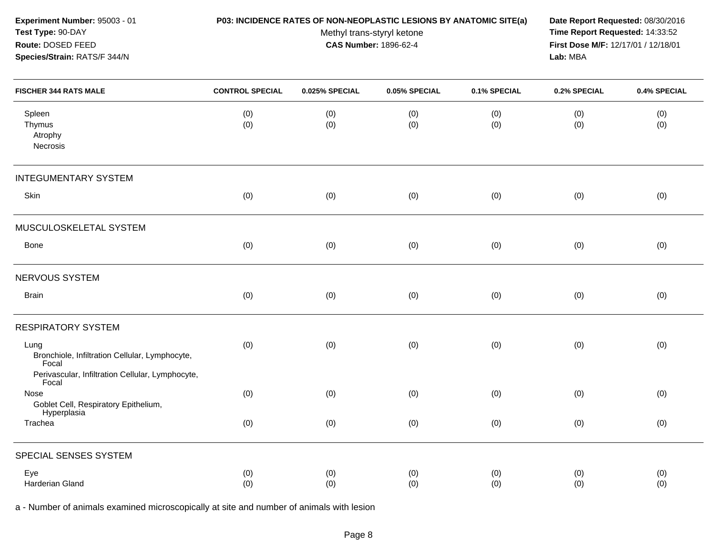| 0.4% SPECIAL |
|--------------|
| (0)<br>(0)   |
|              |
| (0)          |
|              |
| (0)          |
|              |
| (0)          |
|              |
| (0)          |
|              |
| (0)          |
| (0)          |
|              |
| (0)<br>(0)   |
|              |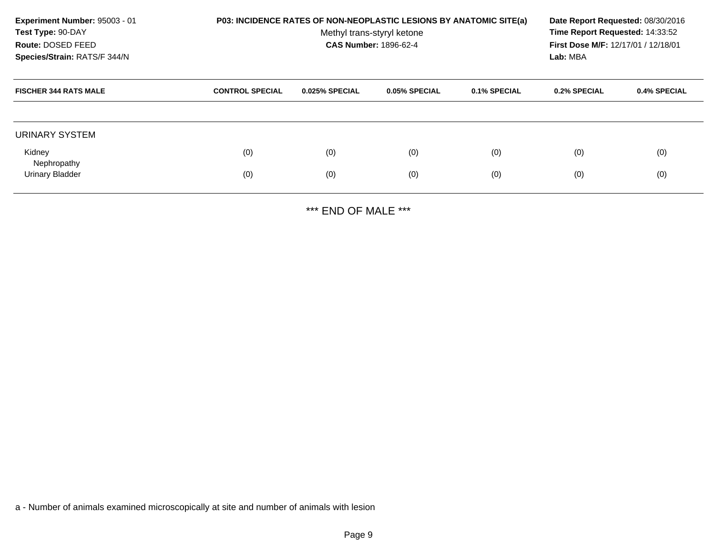| Experiment Number: 95003 - 01<br>Test Type: 90-DAY<br>Route: DOSED FEED<br>Species/Strain: RATS/F 344/N |                        | P03: INCIDENCE RATES OF NON-NEOPLASTIC LESIONS BY ANATOMIC SITE(a)<br>Methyl trans-styryl ketone<br><b>CAS Number: 1896-62-4</b> |               |              |              |              |  |
|---------------------------------------------------------------------------------------------------------|------------------------|----------------------------------------------------------------------------------------------------------------------------------|---------------|--------------|--------------|--------------|--|
| <b>FISCHER 344 RATS MALE</b>                                                                            | <b>CONTROL SPECIAL</b> | 0.025% SPECIAL                                                                                                                   | 0.05% SPECIAL | 0.1% SPECIAL | 0.2% SPECIAL | 0.4% SPECIAL |  |
| URINARY SYSTEM                                                                                          |                        |                                                                                                                                  |               |              |              |              |  |
| Kidney                                                                                                  | (0)                    | (0)                                                                                                                              | (0)           | (0)          | (0)          | (0)          |  |
| Nephropathy<br><b>Urinary Bladder</b>                                                                   | (0)                    | (0)                                                                                                                              | (0)           | (0)          | (0)          | (0)          |  |

\*\*\* END OF MALE \*\*\*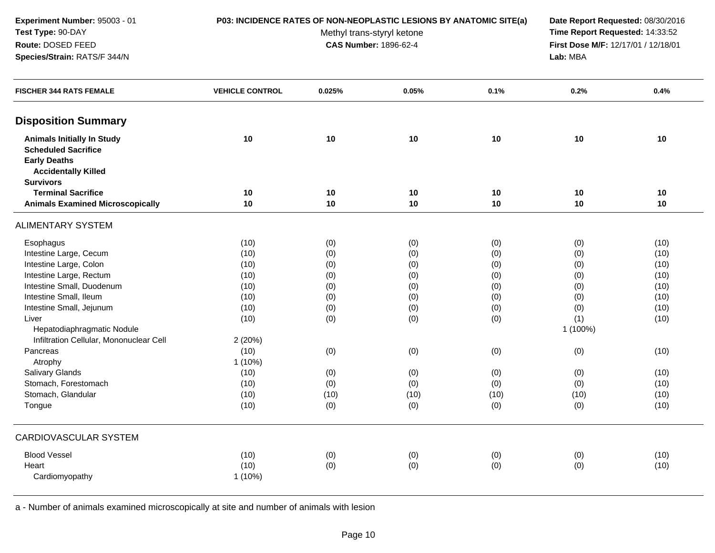## **P03: INCIDENCE RATES OF NON-NEOPLASTIC LESIONS BY ANATOMIC SITE(a) Date Report Requested:** 08/30/2016

Methyl trans-styryl ketone<br>CAS Number: 1896-62-4

 **Time Report Requested:** 14:33:52 **First Dose M/F:** 12/17/01 / 12/18/01<br>Lab: MBA **Lab:** MBA

| <b>FISCHER 344 RATS FEMALE</b>                                                         | <b>VEHICLE CONTROL</b> | 0.025% | 0.05% | 0.1% | 0.2%     | 0.4% |
|----------------------------------------------------------------------------------------|------------------------|--------|-------|------|----------|------|
| <b>Disposition Summary</b>                                                             |                        |        |       |      |          |      |
| <b>Animals Initially In Study</b><br><b>Scheduled Sacrifice</b><br><b>Early Deaths</b> | 10                     | 10     | 10    | 10   | 10       | 10   |
| <b>Accidentally Killed</b><br><b>Survivors</b>                                         |                        |        |       |      |          |      |
| <b>Terminal Sacrifice</b>                                                              | 10                     | 10     | 10    | 10   | 10       | 10   |
| <b>Animals Examined Microscopically</b>                                                | 10                     | $10$   | 10    | $10$ | 10       | 10   |
| <b>ALIMENTARY SYSTEM</b>                                                               |                        |        |       |      |          |      |
| Esophagus                                                                              | (10)                   | (0)    | (0)   | (0)  | (0)      | (10) |
| Intestine Large, Cecum                                                                 | (10)                   | (0)    | (0)   | (0)  | (0)      | (10) |
| Intestine Large, Colon                                                                 | (10)                   | (0)    | (0)   | (0)  | (0)      | (10) |
| Intestine Large, Rectum                                                                | (10)                   | (0)    | (0)   | (0)  | (0)      | (10) |
| Intestine Small, Duodenum                                                              | (10)                   | (0)    | (0)   | (0)  | (0)      | (10) |
| Intestine Small, Ileum                                                                 | (10)                   | (0)    | (0)   | (0)  | (0)      | (10) |
| Intestine Small, Jejunum                                                               | (10)                   | (0)    | (0)   | (0)  | (0)      | (10) |
| Liver                                                                                  | (10)                   | (0)    | (0)   | (0)  | (1)      | (10) |
| Hepatodiaphragmatic Nodule                                                             |                        |        |       |      | 1 (100%) |      |
| Infiltration Cellular, Mononuclear Cell                                                | 2(20%)                 |        |       |      |          |      |
| Pancreas                                                                               | (10)                   | (0)    | (0)   | (0)  | (0)      | (10) |
| Atrophy                                                                                | 1(10%)                 |        |       |      |          |      |
| <b>Salivary Glands</b>                                                                 | (10)                   | (0)    | (0)   | (0)  | (0)      | (10) |
| Stomach, Forestomach                                                                   | (10)                   | (0)    | (0)   | (0)  | (0)      | (10) |
| Stomach, Glandular                                                                     | (10)                   | (10)   | (10)  | (10) | (10)     | (10) |
| Tongue                                                                                 | (10)                   | (0)    | (0)   | (0)  | (0)      | (10) |
| <b>CARDIOVASCULAR SYSTEM</b>                                                           |                        |        |       |      |          |      |
| <b>Blood Vessel</b>                                                                    | (10)                   | (0)    | (0)   | (0)  | (0)      | (10) |
| Heart                                                                                  | (10)                   | (0)    | (0)   | (0)  | (0)      | (10) |
| Cardiomyopathy                                                                         | $1(10\%)$              |        |       |      |          |      |
|                                                                                        |                        |        |       |      |          |      |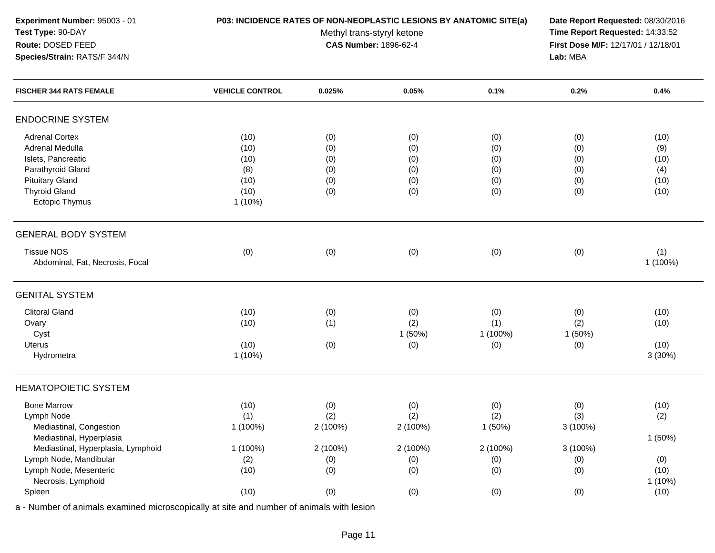## **P03: INCIDENCE RATES OF NON-NEOPLASTIC LESIONS BY ANATOMIC SITE(a) Date Report Requested:** 08/30/2016

Methyl trans-styryl ketone<br>CAS Number: 1896-62-4

 **Time Report Requested:** 14:33:52 **First Dose M/F:** 12/17/01 / 12/18/01<br>Lab: MBA **Lab:** MBA

| <b>FISCHER 344 RATS FEMALE</b>     | <b>VEHICLE CONTROL</b> | 0.025%   | 0.05%    | 0.1%     | 0.2%     | 0.4%     |
|------------------------------------|------------------------|----------|----------|----------|----------|----------|
| <b>ENDOCRINE SYSTEM</b>            |                        |          |          |          |          |          |
| <b>Adrenal Cortex</b>              | (10)                   | (0)      | (0)      | (0)      | (0)      | (10)     |
| Adrenal Medulla                    | (10)                   | (0)      | (0)      | (0)      | (0)      | (9)      |
| Islets, Pancreatic                 | (10)                   | (0)      | (0)      | (0)      | (0)      | (10)     |
| Parathyroid Gland                  | (8)                    | (0)      | (0)      | (0)      | (0)      | (4)      |
| <b>Pituitary Gland</b>             | (10)                   | (0)      | (0)      | (0)      | (0)      | (10)     |
| <b>Thyroid Gland</b>               | (10)                   | (0)      | (0)      | (0)      | (0)      | (10)     |
| Ectopic Thymus                     | $1(10\%)$              |          |          |          |          |          |
| <b>GENERAL BODY SYSTEM</b>         |                        |          |          |          |          |          |
| <b>Tissue NOS</b>                  | (0)                    | (0)      | (0)      | (0)      | (0)      | (1)      |
| Abdominal, Fat, Necrosis, Focal    |                        |          |          |          |          | 1 (100%) |
| <b>GENITAL SYSTEM</b>              |                        |          |          |          |          |          |
| <b>Clitoral Gland</b>              | (10)                   | (0)      | (0)      | (0)      | (0)      | (10)     |
| Ovary                              | (10)                   | (1)      | (2)      | (1)      | (2)      | (10)     |
| Cyst                               |                        |          | 1(50%)   | 1 (100%) | 1(50%)   |          |
| Uterus                             | (10)                   | (0)      | (0)      | (0)      | (0)      | (10)     |
| Hydrometra                         | $1(10\%)$              |          |          |          |          | 3(30%)   |
| <b>HEMATOPOIETIC SYSTEM</b>        |                        |          |          |          |          |          |
| <b>Bone Marrow</b>                 | (10)                   | (0)      | (0)      | (0)      | (0)      | (10)     |
| Lymph Node                         | (1)                    | (2)      | (2)      | (2)      | (3)      | (2)      |
| Mediastinal, Congestion            | 1 (100%)               | 2 (100%) | 2 (100%) | 1(50%)   | 3 (100%) |          |
| Mediastinal, Hyperplasia           |                        |          |          |          |          | 1(50%)   |
| Mediastinal, Hyperplasia, Lymphoid | 1 (100%)               | 2 (100%) | 2 (100%) | 2 (100%) | 3 (100%) |          |
| Lymph Node, Mandibular             | (2)                    | (0)      | (0)      | (0)      | (0)      | (0)      |
| Lymph Node, Mesenteric             | (10)                   | (0)      | (0)      | (0)      | (0)      | (10)     |
| Necrosis, Lymphoid                 |                        |          |          |          |          | 1(10%)   |
| Spleen                             | (10)                   | (0)      | (0)      | (0)      | (0)      | (10)     |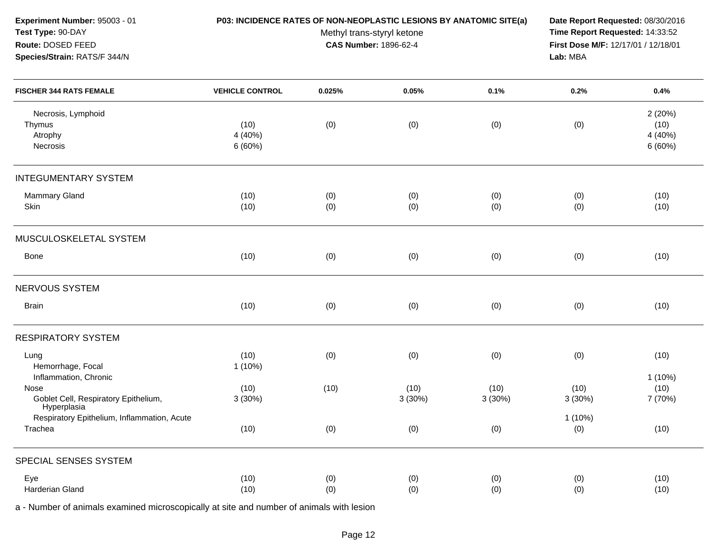| Experiment Number: 95003 - 01<br>Test Type: 90-DAY<br>Route: DOSED FEED<br>Species/Strain: RATS/F 344/N | P03: INCIDENCE RATES OF NON-NEOPLASTIC LESIONS BY ANATOMIC SITE(a) | Date Report Requested: 08/30/2016<br>Time Report Requested: 14:33:52<br>First Dose M/F: 12/17/01 / 12/18/01<br>Lab: MBA |                |                |                  |                                     |
|---------------------------------------------------------------------------------------------------------|--------------------------------------------------------------------|-------------------------------------------------------------------------------------------------------------------------|----------------|----------------|------------------|-------------------------------------|
| <b>FISCHER 344 RATS FEMALE</b>                                                                          | <b>VEHICLE CONTROL</b>                                             | 0.025%                                                                                                                  | 0.05%          | 0.1%           | 0.2%             | 0.4%                                |
| Necrosis, Lymphoid<br>Thymus<br>Atrophy<br>Necrosis                                                     | (10)<br>4 (40%)<br>6(60%)                                          | (0)                                                                                                                     | (0)            | (0)            | (0)              | 2(20%)<br>(10)<br>4 (40%)<br>6(60%) |
| <b>INTEGUMENTARY SYSTEM</b>                                                                             |                                                                    |                                                                                                                         |                |                |                  |                                     |
| <b>Mammary Gland</b><br>Skin                                                                            | (10)<br>(10)                                                       | (0)<br>(0)                                                                                                              | (0)<br>(0)     | (0)<br>(0)     | (0)<br>(0)       | (10)<br>(10)                        |
| MUSCULOSKELETAL SYSTEM                                                                                  |                                                                    |                                                                                                                         |                |                |                  |                                     |
| Bone                                                                                                    | (10)                                                               | (0)                                                                                                                     | (0)            | (0)            | (0)              | (10)                                |
| NERVOUS SYSTEM                                                                                          |                                                                    |                                                                                                                         |                |                |                  |                                     |
| <b>Brain</b>                                                                                            | (10)                                                               | (0)                                                                                                                     | (0)            | (0)            | (0)              | (10)                                |
| <b>RESPIRATORY SYSTEM</b>                                                                               |                                                                    |                                                                                                                         |                |                |                  |                                     |
| Lung<br>Hemorrhage, Focal                                                                               | (10)<br>1 (10%)                                                    | (0)                                                                                                                     | (0)            | (0)            | (0)              | (10)                                |
| Inflammation, Chronic<br>Nose<br>Goblet Cell, Respiratory Epithelium,<br>Hyperplasia                    | (10)<br>3 (30%)                                                    | (10)                                                                                                                    | (10)<br>3(30%) | (10)<br>3(30%) | (10)<br>3(30%)   | $1(10\%)$<br>(10)<br>7 (70%)        |
| Respiratory Epithelium, Inflammation, Acute<br>Trachea                                                  | (10)                                                               | (0)                                                                                                                     | (0)            | (0)            | $1(10\%)$<br>(0) | (10)                                |
| SPECIAL SENSES SYSTEM                                                                                   |                                                                    |                                                                                                                         |                |                |                  |                                     |
| Eye<br>Harderian Gland                                                                                  | (10)<br>(10)                                                       | (0)<br>(0)                                                                                                              | (0)<br>(0)     | (0)<br>(0)     | (0)<br>(0)       | (10)<br>(10)                        |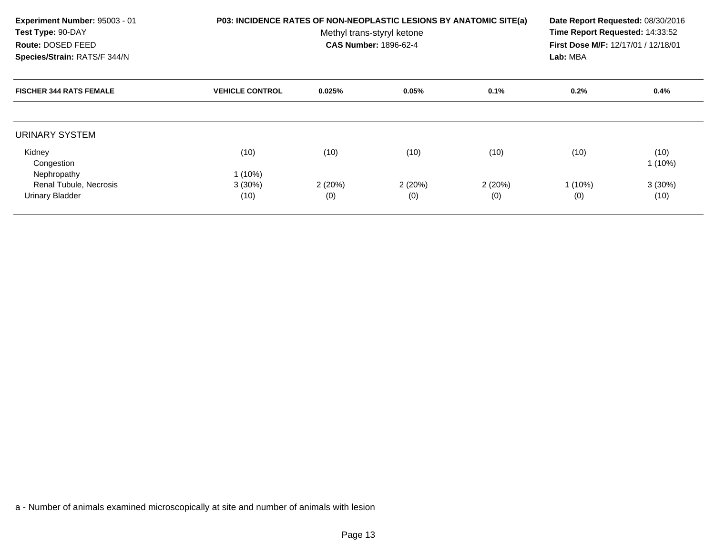| Experiment Number: 95003 - 01<br>Test Type: 90-DAY<br>Route: DOSED FEED<br>Species/Strain: RATS/F 344/N | P03: INCIDENCE RATES OF NON-NEOPLASTIC LESIONS BY ANATOMIC SITE(a) | Date Report Requested: 08/30/2016<br>Time Report Requested: 14:33:52<br>First Dose M/F: 12/17/01 / 12/18/01<br>Lab: MBA |               |               |                  |                   |
|---------------------------------------------------------------------------------------------------------|--------------------------------------------------------------------|-------------------------------------------------------------------------------------------------------------------------|---------------|---------------|------------------|-------------------|
| <b>FISCHER 344 RATS FEMALE</b>                                                                          | <b>VEHICLE CONTROL</b>                                             | 0.025%                                                                                                                  | 0.05%         | 0.1%          | 0.2%             | $0.4\%$           |
| URINARY SYSTEM                                                                                          |                                                                    |                                                                                                                         |               |               |                  |                   |
| Kidney<br>Congestion                                                                                    | (10)                                                               | (10)                                                                                                                    | (10)          | (10)          | (10)             | (10)<br>$1(10\%)$ |
| Nephropathy<br>Renal Tubule, Necrosis                                                                   | $1(10\%)$                                                          |                                                                                                                         |               |               |                  |                   |
| <b>Urinary Bladder</b>                                                                                  | $3(30\%)$<br>(10)                                                  | 2(20%)<br>(0)                                                                                                           | 2(20%)<br>(0) | 2(20%)<br>(0) | $1(10\%)$<br>(0) | $3(30\%)$<br>(10) |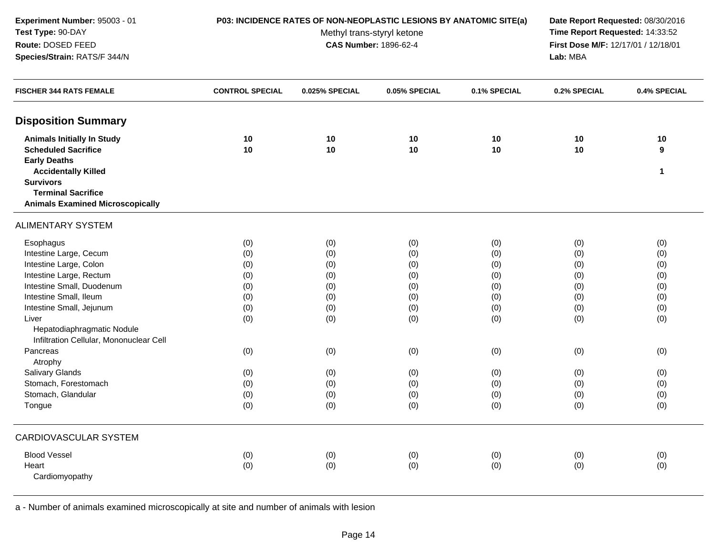| Experiment Number: 95003 - 01<br>Test Type: 90-DAY<br>Route: DOSED FEED<br>Species/Strain: RATS/F 344/N                                                                                                                                                                                                                                                         | <b>P03: INCIDENCE RATES OF NON-NEOPLASTIC LESIONS BY ANATOMIC SITE(a)</b>               | Date Report Requested: 08/30/2016<br>Time Report Requested: 14:33:52<br>First Dose M/F: 12/17/01 / 12/18/01<br>Lab: MBA |                                                                                         |                                                                                         |                                                                                         |                                                                                         |
|-----------------------------------------------------------------------------------------------------------------------------------------------------------------------------------------------------------------------------------------------------------------------------------------------------------------------------------------------------------------|-----------------------------------------------------------------------------------------|-------------------------------------------------------------------------------------------------------------------------|-----------------------------------------------------------------------------------------|-----------------------------------------------------------------------------------------|-----------------------------------------------------------------------------------------|-----------------------------------------------------------------------------------------|
| <b>FISCHER 344 RATS FEMALE</b>                                                                                                                                                                                                                                                                                                                                  | <b>CONTROL SPECIAL</b>                                                                  | 0.025% SPECIAL                                                                                                          | 0.05% SPECIAL                                                                           | 0.1% SPECIAL                                                                            | 0.2% SPECIAL                                                                            | 0.4% SPECIAL                                                                            |
| <b>Disposition Summary</b>                                                                                                                                                                                                                                                                                                                                      |                                                                                         |                                                                                                                         |                                                                                         |                                                                                         |                                                                                         |                                                                                         |
| <b>Animals Initially In Study</b><br><b>Scheduled Sacrifice</b><br><b>Early Deaths</b>                                                                                                                                                                                                                                                                          | 10<br>10                                                                                | 10<br>10                                                                                                                | 10<br>10                                                                                | 10<br>10                                                                                | 10<br>10                                                                                | 10<br>9                                                                                 |
| <b>Accidentally Killed</b><br><b>Survivors</b><br><b>Terminal Sacrifice</b><br><b>Animals Examined Microscopically</b>                                                                                                                                                                                                                                          |                                                                                         |                                                                                                                         |                                                                                         |                                                                                         |                                                                                         | 1                                                                                       |
| <b>ALIMENTARY SYSTEM</b>                                                                                                                                                                                                                                                                                                                                        |                                                                                         |                                                                                                                         |                                                                                         |                                                                                         |                                                                                         |                                                                                         |
| Esophagus<br>Intestine Large, Cecum<br>Intestine Large, Colon<br>Intestine Large, Rectum<br>Intestine Small, Duodenum<br>Intestine Small, Ileum<br>Intestine Small, Jejunum<br>Liver<br>Hepatodiaphragmatic Nodule<br>Infiltration Cellular, Mononuclear Cell<br>Pancreas<br>Atrophy<br>Salivary Glands<br>Stomach, Forestomach<br>Stomach, Glandular<br>Tongue | (0)<br>(0)<br>(0)<br>(0)<br>(0)<br>(0)<br>(0)<br>(0)<br>(0)<br>(0)<br>(0)<br>(0)<br>(0) | (0)<br>(0)<br>(0)<br>(0)<br>(0)<br>(0)<br>(0)<br>(0)<br>(0)<br>(0)<br>(0)<br>(0)<br>(0)                                 | (0)<br>(0)<br>(0)<br>(0)<br>(0)<br>(0)<br>(0)<br>(0)<br>(0)<br>(0)<br>(0)<br>(0)<br>(0) | (0)<br>(0)<br>(0)<br>(0)<br>(0)<br>(0)<br>(0)<br>(0)<br>(0)<br>(0)<br>(0)<br>(0)<br>(0) | (0)<br>(0)<br>(0)<br>(0)<br>(0)<br>(0)<br>(0)<br>(0)<br>(0)<br>(0)<br>(0)<br>(0)<br>(0) | (0)<br>(0)<br>(0)<br>(0)<br>(0)<br>(0)<br>(0)<br>(0)<br>(0)<br>(0)<br>(0)<br>(0)<br>(0) |
| <b>CARDIOVASCULAR SYSTEM</b>                                                                                                                                                                                                                                                                                                                                    |                                                                                         |                                                                                                                         |                                                                                         |                                                                                         |                                                                                         |                                                                                         |
| <b>Blood Vessel</b><br>Heart<br>Cardiomyopathy                                                                                                                                                                                                                                                                                                                  | (0)<br>(0)                                                                              | (0)<br>(0)                                                                                                              | (0)<br>(0)                                                                              | (0)<br>(0)                                                                              | (0)<br>(0)                                                                              | (0)<br>(0)                                                                              |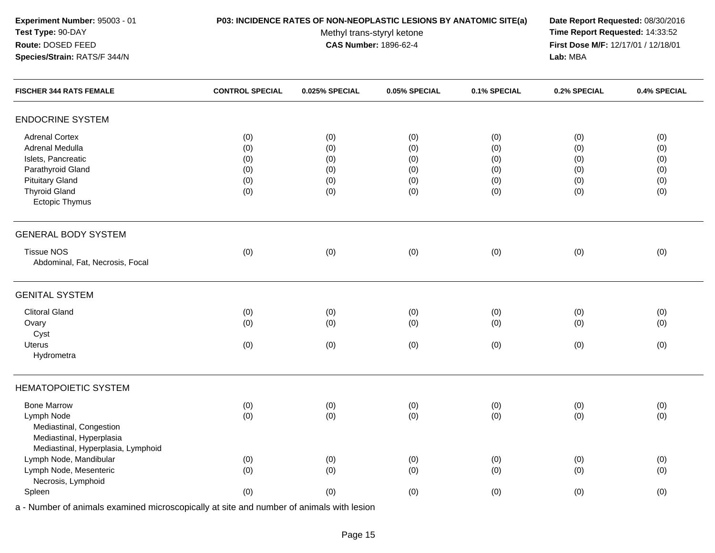## **P03: INCIDENCE RATES OF NON-NEOPLASTIC LESIONS BY ANATOMIC SITE(a) Date Report Requested:** 08/30/2016

Methyl trans-styryl ketone<br>CAS Number: 1896-62-4

 **Time Report Requested:** 14:33:52 **First Dose M/F:** 12/17/01 / 12/18/01<br>Lab: MBA **Lab:** MBA

| <b>FISCHER 344 RATS FEMALE</b>     | <b>CONTROL SPECIAL</b> | 0.025% SPECIAL | 0.05% SPECIAL | 0.1% SPECIAL | 0.2% SPECIAL | 0.4% SPECIAL |
|------------------------------------|------------------------|----------------|---------------|--------------|--------------|--------------|
| <b>ENDOCRINE SYSTEM</b>            |                        |                |               |              |              |              |
| <b>Adrenal Cortex</b>              | (0)                    | (0)            | (0)           | (0)          | (0)          | (0)          |
| Adrenal Medulla                    | (0)                    | (0)            | (0)           | (0)          | (0)          | (0)          |
| Islets, Pancreatic                 | (0)                    | (0)            | (0)           | (0)          | (0)          | (0)          |
| Parathyroid Gland                  | (0)                    | (0)            | (0)           | (0)          | (0)          | (0)          |
| <b>Pituitary Gland</b>             | (0)                    | (0)            | (0)           | (0)          | (0)          | (0)          |
| <b>Thyroid Gland</b>               | (0)                    | (0)            | (0)           | (0)          | (0)          | (0)          |
| <b>Ectopic Thymus</b>              |                        |                |               |              |              |              |
| <b>GENERAL BODY SYSTEM</b>         |                        |                |               |              |              |              |
| <b>Tissue NOS</b>                  | (0)                    | (0)            | (0)           | (0)          | (0)          | (0)          |
| Abdominal, Fat, Necrosis, Focal    |                        |                |               |              |              |              |
| <b>GENITAL SYSTEM</b>              |                        |                |               |              |              |              |
| <b>Clitoral Gland</b>              | (0)                    | (0)            | (0)           | (0)          | (0)          | (0)          |
| Ovary                              | (0)                    | (0)            | (0)           | (0)          | (0)          | (0)          |
| Cyst                               |                        |                |               |              |              |              |
| <b>Uterus</b>                      | (0)                    | (0)            | (0)           | (0)          | (0)          | (0)          |
| Hydrometra                         |                        |                |               |              |              |              |
| <b>HEMATOPOIETIC SYSTEM</b>        |                        |                |               |              |              |              |
| <b>Bone Marrow</b>                 | (0)                    | (0)            | (0)           | (0)          | (0)          | (0)          |
| Lymph Node                         | (0)                    | (0)            | (0)           | (0)          | (0)          | (0)          |
| Mediastinal, Congestion            |                        |                |               |              |              |              |
| Mediastinal, Hyperplasia           |                        |                |               |              |              |              |
| Mediastinal, Hyperplasia, Lymphoid |                        |                |               |              |              |              |
| Lymph Node, Mandibular             | (0)                    | (0)            | (0)           | (0)          | (0)          | (0)          |
| Lymph Node, Mesenteric             | (0)                    | (0)            | (0)           | (0)          | (0)          | (0)          |
| Necrosis, Lymphoid                 |                        |                |               |              |              |              |
| Spleen                             | (0)                    | (0)            | (0)           | (0)          | (0)          | (0)          |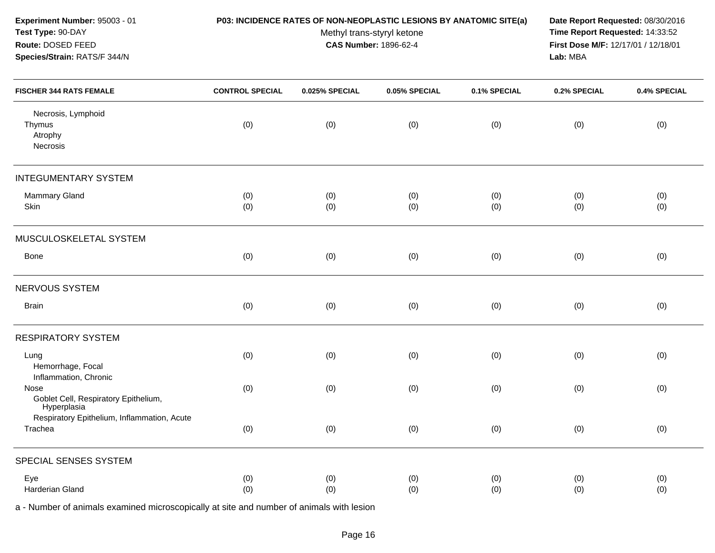| Experiment Number: 95003 - 01<br>Test Type: 90-DAY<br>Route: DOSED FEED<br>Species/Strain: RATS/F 344/N |                        | P03: INCIDENCE RATES OF NON-NEOPLASTIC LESIONS BY ANATOMIC SITE(a)<br>Methyl trans-styryl ketone<br><b>CAS Number: 1896-62-4</b> | Date Report Requested: 08/30/2016<br>Time Report Requested: 14:33:52<br>First Dose M/F: 12/17/01 / 12/18/01<br>Lab: MBA |              |              |              |
|---------------------------------------------------------------------------------------------------------|------------------------|----------------------------------------------------------------------------------------------------------------------------------|-------------------------------------------------------------------------------------------------------------------------|--------------|--------------|--------------|
| <b>FISCHER 344 RATS FEMALE</b>                                                                          | <b>CONTROL SPECIAL</b> | 0.025% SPECIAL                                                                                                                   | 0.05% SPECIAL                                                                                                           | 0.1% SPECIAL | 0.2% SPECIAL | 0.4% SPECIAL |
| Necrosis, Lymphoid<br>Thymus<br>Atrophy<br>Necrosis                                                     | (0)                    | (0)                                                                                                                              | (0)                                                                                                                     | (0)          | (0)          | (0)          |
| <b>INTEGUMENTARY SYSTEM</b>                                                                             |                        |                                                                                                                                  |                                                                                                                         |              |              |              |
| Mammary Gland<br>Skin                                                                                   | (0)<br>(0)             | (0)<br>(0)                                                                                                                       | (0)<br>(0)                                                                                                              | (0)<br>(0)   | (0)<br>(0)   | (0)<br>(0)   |
| MUSCULOSKELETAL SYSTEM                                                                                  |                        |                                                                                                                                  |                                                                                                                         |              |              |              |
| Bone                                                                                                    | (0)                    | (0)                                                                                                                              | (0)                                                                                                                     | (0)          | (0)          | (0)          |
| NERVOUS SYSTEM                                                                                          |                        |                                                                                                                                  |                                                                                                                         |              |              |              |
| <b>Brain</b>                                                                                            | (0)                    | (0)                                                                                                                              | (0)                                                                                                                     | (0)          | (0)          | (0)          |
| <b>RESPIRATORY SYSTEM</b>                                                                               |                        |                                                                                                                                  |                                                                                                                         |              |              |              |
| Lung<br>Hemorrhage, Focal                                                                               | (0)                    | (0)                                                                                                                              | (0)                                                                                                                     | (0)          | (0)          | (0)          |
| Inflammation, Chronic<br>Nose<br>Goblet Cell, Respiratory Epithelium,<br>Hyperplasia                    | (0)                    | (0)                                                                                                                              | (0)                                                                                                                     | (0)          | (0)          | (0)          |
| Respiratory Epithelium, Inflammation, Acute<br>Trachea                                                  | (0)                    | (0)                                                                                                                              | (0)                                                                                                                     | (0)          | (0)          | (0)          |
| SPECIAL SENSES SYSTEM                                                                                   |                        |                                                                                                                                  |                                                                                                                         |              |              |              |
| Eye<br>Harderian Gland                                                                                  | (0)<br>(0)             | (0)<br>(0)                                                                                                                       | (0)<br>(0)                                                                                                              | (0)<br>(0)   | (0)<br>(0)   | (0)<br>(0)   |